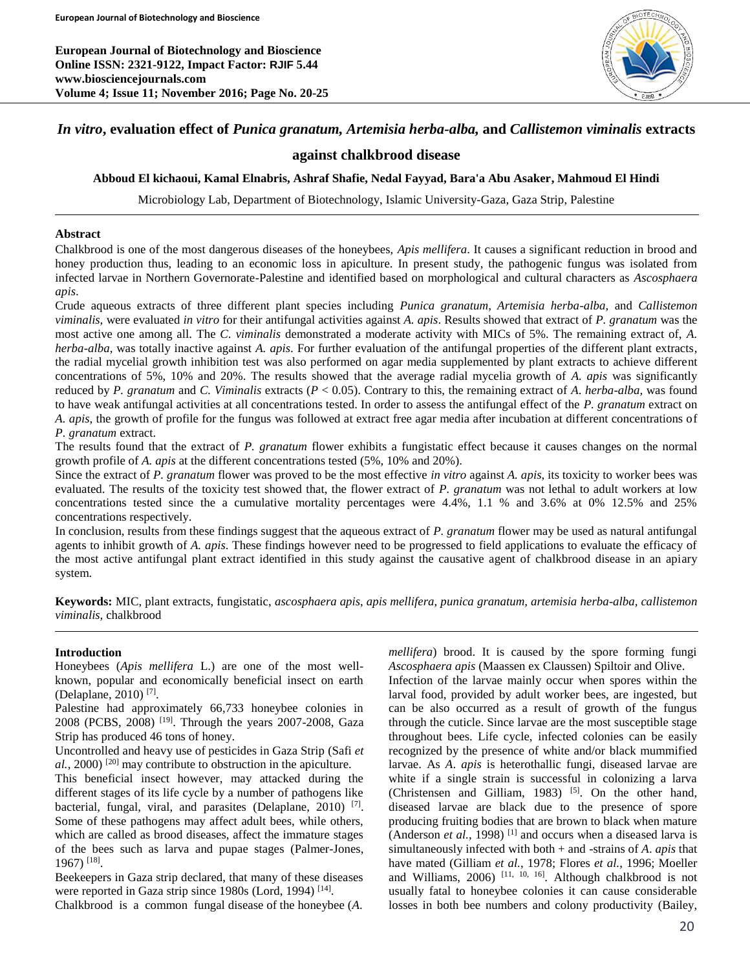**European Journal of Biotechnology and Bioscience Online ISSN: 2321-9122, Impact Factor: RJIF 5.44 www.biosciencejournals.com Volume 4; Issue 11; November 2016; Page No. 20-25**



# *In vitro***, evaluation effect of** *Punica granatum, Artemisia herba-alba,* **and** *Callistemon viminalis* **extracts**

# **against chalkbrood disease**

### **Abboud El kichaoui, Kamal Elnabris, Ashraf Shafie, Nedal Fayyad, Bara'a Abu Asaker, Mahmoud El Hindi**

Microbiology Lab, Department of Biotechnology, Islamic University-Gaza, Gaza Strip, Palestine

### **Abstract**

Chalkbrood is one of the most dangerous diseases of the honeybees, *Apis mellifera*. It causes a significant reduction in brood and honey production thus, leading to an economic loss in apiculture. In present study, the pathogenic fungus was isolated from infected larvae in Northern Governorate-Palestine and identified based on morphological and cultural characters as *Ascosphaera apis*.

Crude aqueous extracts of three different plant species including *Punica granatum, Artemisia herba-alba,* and *Callistemon viminalis,* were evaluated *in vitro* for their antifungal activities against *A. apis*. Results showed that extract of *P. granatum* was the most active one among all. The *C*. *viminalis* demonstrated a moderate activity with MICs of 5%. The remaining extract of, *A. herba-alba*, was totally inactive against *A. apis*. For further evaluation of the antifungal properties of the different plant extracts, the radial mycelial growth inhibition test was also performed on agar media supplemented by plant extracts to achieve different concentrations of 5%, 10% and 20%. The results showed that the average radial mycelia growth of *A. apis* was significantly reduced by *P. granatum* and *C. Viminalis* extracts (*P* < 0.05). Contrary to this, the remaining extract of *A*. *herba-alba,* was found to have weak antifungal activities at all concentrations tested. In order to assess the antifungal effect of the *P. granatum* extract on *A. apis*, the growth of profile for the fungus was followed at extract free agar media after incubation at different concentrations of *P. granatum* extract.

The results found that the extract of *P. granatum* flower exhibits a fungistatic effect because it causes changes on the normal growth profile of *A. apis* at the different concentrations tested (5%, 10% and 20%).

Since the extract of *P. granatum* flower was proved to be the most effective *in vitro* against *A. apis*, its toxicity to worker bees was evaluated. The results of the toxicity test showed that, the flower extract of *P. granatum* was not lethal to adult workers at low concentrations tested since the a cumulative mortality percentages were 4.4%, 1.1 % and 3.6% at 0% 12.5% and 25% concentrations respectively.

In conclusion, results from these findings suggest that the aqueous extract of *P. granatum* flower may be used as natural antifungal agents to inhibit growth of *A. apis*. These findings however need to be progressed to field applications to evaluate the efficacy of the most active antifungal plant extract identified in this study against the causative agent of chalkbrood disease in an apiary system.

**Keywords:** MIC, plant extracts, fungistatic, *ascosphaera apis*, *apis mellifera*, *punica granatum, artemisia herba-alba, callistemon viminalis,* chalkbrood

### **Introduction**

Honeybees (*Apis mellifera* L.) are one of the most wellknown, popular and economically beneficial insect on earth (Delaplane, 2010) [7] .

Palestine had approximately 66,733 honeybee colonies in 2008 (PCBS, 2008) <sup>[19]</sup>. Through the years 2007-2008, Gaza Strip has produced 46 tons of honey.

Uncontrolled and heavy use of pesticides in Gaza Strip (Safi *et al.*, 2000) [20] may contribute to obstruction in the apiculture.

This beneficial insect however, may attacked during the different stages of its life cycle by a number of pathogens like bacterial, fungal, viral, and parasites (Delaplane, 2010)<sup>[7]</sup>. Some of these pathogens may affect adult bees, while others, which are called as brood diseases, affect the immature stages of the bees such as larva and pupae stages (Palmer-Jones, 1967) [18] .

Beekeepers in Gaza strip declared, that many of these diseases were reported in Gaza strip since 1980s (Lord, 1994)<sup>[14]</sup>.

Chalkbrood is a common fungal disease of the honeybee (*A*.

*mellifera*) brood. It is caused by the spore forming fungi *Ascosphaera apis* (Maassen ex Claussen) Spiltoir and Olive.

Infection of the larvae mainly occur when spores within the larval food, provided by adult worker bees, are ingested, but can be also occurred as a result of growth of the fungus through the cuticle. Since larvae are the most susceptible stage throughout bees. Life cycle, infected colonies can be easily recognized by the presence of white and/or black mummified larvae. As *A*. *apis* is heterothallic fungi, diseased larvae are white if a single strain is successful in colonizing a larva (Christensen and Gilliam, 1983)  $[5]$ . On the other hand, diseased larvae are black due to the presence of spore producing fruiting bodies that are brown to black when mature (Anderson *et al.*, 1998)<sup>[1]</sup> and occurs when a diseased larva is simultaneously infected with both + and -strains of *A*. *apis* that have mated (Gilliam *et al.*, 1978; Flores *et al.*, 1996; Moeller and Williams, 2006)<sup>[11, 10, 16]</sup>. Although chalkbrood is not usually fatal to honeybee colonies it can cause considerable losses in both bee numbers and colony productivity (Bailey,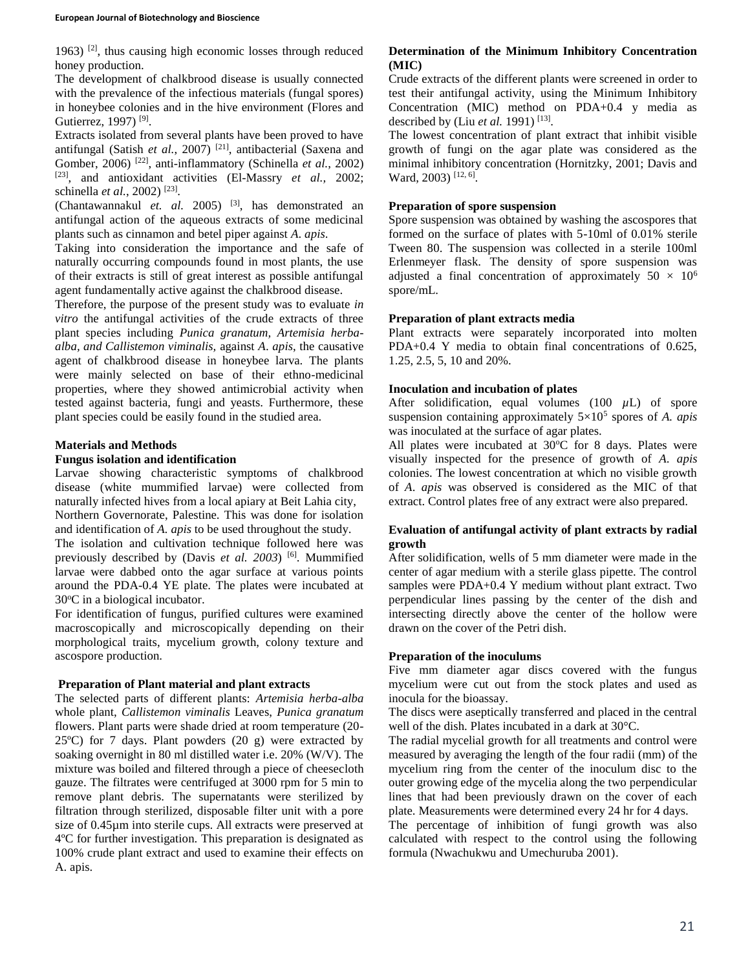1963)<sup>[2]</sup>, thus causing high economic losses through reduced honey production.

The development of chalkbrood disease is usually connected with the prevalence of the infectious materials (fungal spores) in honeybee colonies and in the hive environment (Flores and Gutierrez, 1997)<sup>[9]</sup>.

Extracts isolated from several plants have been proved to have antifungal (Satish *et al.*, 2007) [21], antibacterial (Saxena and Gomber, 2006)<sup>[22]</sup>, anti-inflammatory (Schinella et al., 2002) [23] , and antioxidant activities (El-Massry *et al.,* 2002; schinella *et al.*, 2002)<sup>[23]</sup>.

(Chantawannakul *et. al.* 2005) [3] , has demonstrated an antifungal action of the aqueous extracts of some medicinal plants such as cinnamon and betel piper against *A*. *apis*.

Taking into consideration the importance and the safe of naturally occurring compounds found in most plants, the use of their extracts is still of great interest as possible antifungal agent fundamentally active against the chalkbrood disease.

Therefore, the purpose of the present study was to evaluate *in vitro* the antifungal activities of the crude extracts of three plant species including *Punica granatum, Artemisia herbaalba, and Callistemon viminalis,* against *A*. *apis*, the causative agent of chalkbrood disease in honeybee larva. The plants were mainly selected on base of their ethno-medicinal properties, where they showed antimicrobial activity when tested against bacteria, fungi and yeasts. Furthermore, these plant species could be easily found in the studied area.

# **Materials and Methods**

## **Fungus isolation and identification**

Larvae showing characteristic symptoms of chalkbrood disease (white mummified larvae) were collected from naturally infected hives from a local apiary at Beit Lahia city, Northern Governorate, Palestine. This was done for isolation and identification of *A. apis* to be used throughout the study.

The isolation and cultivation technique followed here was previously described by (Davis *et al. 2003*) [6] . Mummified larvae were dabbed onto the agar surface at various points around the PDA-0.4 YE plate. The plates were incubated at 30°C in a biological incubator.

For identification of fungus, purified cultures were examined macroscopically and microscopically depending on their morphological traits, mycelium growth, colony texture and ascospore production.

# **Preparation of Plant material and plant extracts**

The selected parts of different plants: *Artemisia herba-alba* whole plant, *Callistemon viminalis* Leaves, *Punica granatum* flowers. Plant parts were shade dried at room temperature (20- 25ºC) for 7 days. Plant powders (20 g) were extracted by soaking overnight in 80 ml distilled water i.e. 20% (W/V). The mixture was boiled and filtered through a piece of cheesecloth gauze. The filtrates were centrifuged at 3000 rpm for 5 min to remove plant debris. The supernatants were sterilized by filtration through sterilized, disposable filter unit with a pore size of 0.45µm into sterile cups. All extracts were preserved at 4ºC for further investigation. This preparation is designated as 100% crude plant extract and used to examine their effects on A. apis.

# **Determination of the Minimum Inhibitory Concentration (MIC)**

Crude extracts of the different plants were screened in order to test their antifungal activity, using the Minimum Inhibitory Concentration (MIC) method on PDA+0.4 y media as described by (Liu *et al.* 1991)<sup>[13]</sup>.

The lowest concentration of plant extract that inhibit visible growth of fungi on the agar plate was considered as the minimal inhibitory concentration (Hornitzky, 2001; Davis and Ward, 2003)<sup>[12, 6]</sup>.

# **Preparation of spore suspension**

Spore suspension was obtained by washing the ascospores that formed on the surface of plates with 5-10ml of 0.01% sterile Tween 80. The suspension was collected in a sterile 100ml Erlenmeyer flask. The density of spore suspension was adjusted a final concentration of approximately  $50 \times 10^6$ spore/mL.

# **Preparation of plant extracts media**

Plant extracts were separately incorporated into molten PDA+0.4 Y media to obtain final concentrations of 0.625, 1.25, 2.5, 5, 10 and 20%.

# **Inoculation and incubation of plates**

After solidification, equal volumes  $(100 \mu L)$  of spore suspension containing approximately 5×10<sup>5</sup> spores of *A. apis*  was inoculated at the surface of agar plates.

All plates were incubated at  $30^{\circ}$ C for 8 days. Plates were visually inspected for the presence of growth of *A*. *apis*  colonies. The lowest concentration at which no visible growth of *A*. *apis* was observed is considered as the MIC of that extract. Control plates free of any extract were also prepared.

# **Evaluation of antifungal activity of plant extracts by radial growth**

After solidification, wells of 5 mm diameter were made in the center of agar medium with a sterile glass pipette. The control samples were PDA+0.4 Y medium without plant extract. Two perpendicular lines passing by the center of the dish and intersecting directly above the center of the hollow were drawn on the cover of the Petri dish.

# **Preparation of the inoculums**

Five mm diameter agar discs covered with the fungus mycelium were cut out from the stock plates and used as inocula for the bioassay.

The discs were aseptically transferred and placed in the central well of the dish. Plates incubated in a dark at 30°C.

The radial mycelial growth for all treatments and control were measured by averaging the length of the four radii (mm) of the mycelium ring from the center of the inoculum disc to the outer growing edge of the mycelia along the two perpendicular lines that had been previously drawn on the cover of each plate. Measurements were determined every 24 hr for 4 days.

The percentage of inhibition of fungi growth was also calculated with respect to the control using the following formula (Nwachukwu and Umechuruba 2001).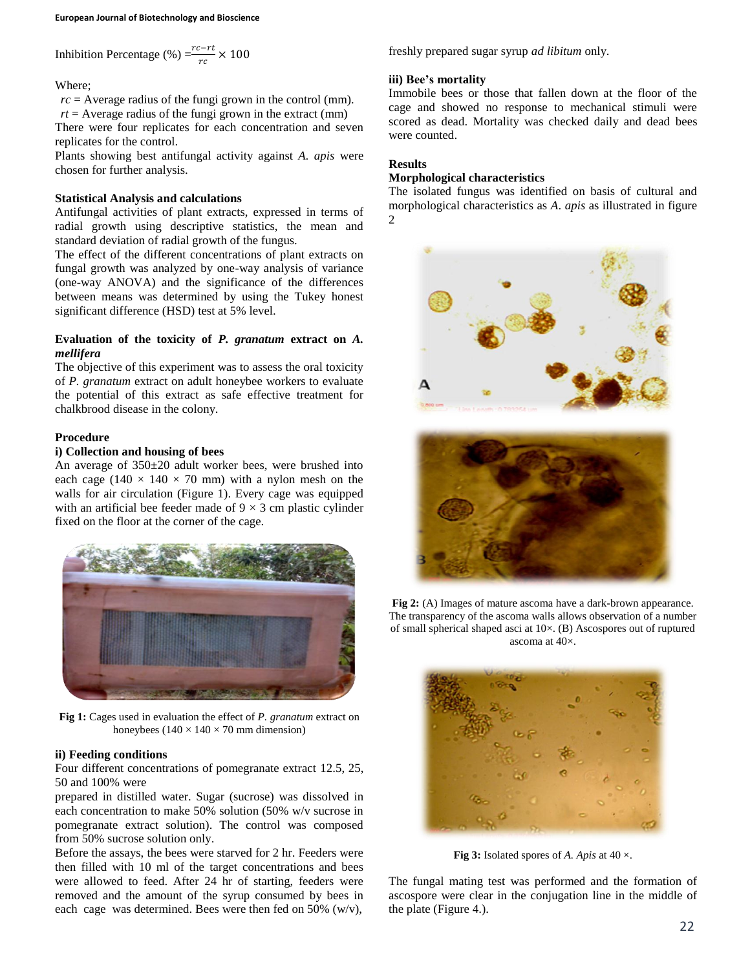Inhibition Percentage (%) = 
$$
\frac{rc - rt}{rc} \times 100
$$

Where;

 $rc =$  Average radius of the fungi grown in the control (mm).

 $rt =$  Average radius of the fungi grown in the extract (mm)

There were four replicates for each concentration and seven replicates for the control.

Plants showing best antifungal activity against *A. apis* were chosen for further analysis.

### **Statistical Analysis and calculations**

Antifungal activities of plant extracts, expressed in terms of radial growth using descriptive statistics, the mean and standard deviation of radial growth of the fungus.

The effect of the different concentrations of plant extracts on fungal growth was analyzed by one-way analysis of variance (one-way ANOVA) and the significance of the differences between means was determined by using the Tukey honest significant difference (HSD) test at 5% level.

### **Evaluation of the toxicity of** *P. granatum* **extract on** *A. mellifera*

The objective of this experiment was to assess the oral toxicity of *P. granatum* extract on adult honeybee workers to evaluate the potential of this extract as safe effective treatment for chalkbrood disease in the colony.

### **Procedure**

# **i) Collection and housing of bees**

An average of 350±20 adult worker bees, were brushed into each cage (140  $\times$  140  $\times$  70 mm) with a nylon mesh on the walls for air circulation (Figure 1). Every cage was equipped with an artificial bee feeder made of  $9 \times 3$  cm plastic cylinder fixed on the floor at the corner of the cage.



**Fig 1:** Cages used in evaluation the effect of *P. granatum* extract on honeybees  $(140 \times 140 \times 70 \text{ mm}$  dimension)

### **ii) Feeding conditions**

Four different concentrations of pomegranate extract 12.5, 25, 50 and 100% were

prepared in distilled water. Sugar (sucrose) was dissolved in each concentration to make 50% solution (50% w/v sucrose in pomegranate extract solution). The control was composed from 50% sucrose solution only.

Before the assays, the bees were starved for 2 hr. Feeders were then filled with 10 ml of the target concentrations and bees were allowed to feed. After 24 hr of starting, feeders were removed and the amount of the syrup consumed by bees in each cage was determined. Bees were then fed on 50%  $(w/v)$ ,

freshly prepared sugar syrup *ad libitum* only.

#### **iii) Bee's mortality**

Immobile bees or those that fallen down at the floor of the cage and showed no response to mechanical stimuli were scored as dead. Mortality was checked daily and dead bees were counted.

#### **Results**

#### **Morphological characteristics**

The isolated fungus was identified on basis of cultural and morphological characteristics as *A*. *apis* as illustrated in figure 2





**Fig 2:** (A) Images of mature ascoma have a dark-brown appearance. The transparency of the ascoma walls allows observation of a number of small spherical shaped asci at 10×. (B) Ascospores out of ruptured ascoma at 40×.



**Fig 3:** Isolated spores of *A. Apis* at  $40 \times$ .

The fungal mating test was performed and the formation of ascospore were clear in the conjugation line in the middle of the plate (Figure 4.).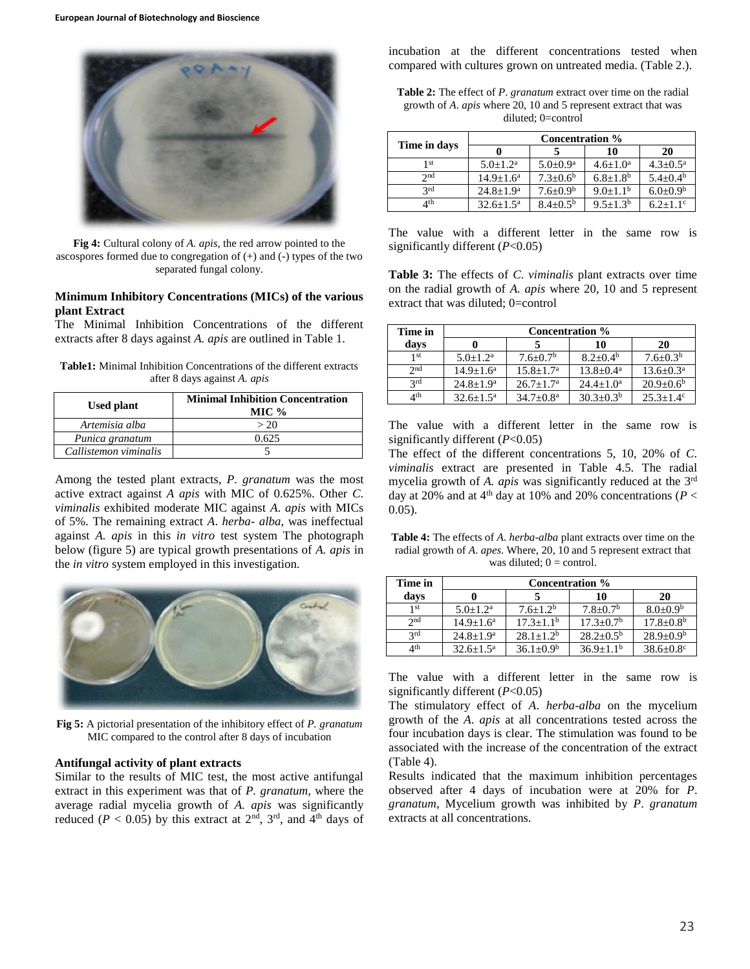

**Fig 4:** Cultural colony of *A. apis*, the red arrow pointed to the ascospores formed due to congregation of (+) and (-) types of the two separated fungal colony.

### **Minimum Inhibitory Concentrations (MICs) of the various plant Extract**

The Minimal Inhibition Concentrations of the different extracts after 8 days against *A. apis* are outlined in Table 1.

| <b>Table1:</b> Minimal Inhibition Concentrations of the different extracts |  |
|----------------------------------------------------------------------------|--|
| after 8 days against A. apis                                               |  |

| Used plant            | <b>Minimal Inhibition Concentration</b><br>MIC $%$ |  |  |  |  |  |
|-----------------------|----------------------------------------------------|--|--|--|--|--|
| Artemisia alba        | > 20                                               |  |  |  |  |  |
| Punica granatum       | 0.625                                              |  |  |  |  |  |
| Callistemon viminalis |                                                    |  |  |  |  |  |

Among the tested plant extracts, *P. granatum* was the most active extract against *A apis* with MIC of 0.625%. Other *C*. *viminalis* exhibited moderate MIC against *A*. *apis* with MICs of 5%. The remaining extract *A*. *herba- alba*, was ineffectual against *A. apis* in this *in vitro* test system The photograph below (figure 5) are typical growth presentations of *A. apis* in the *in vitro* system employed in this investigation.



**Fig 5:** A pictorial presentation of the inhibitory effect of *P. granatum*  MIC compared to the control after 8 days of incubation

#### **Antifungal activity of plant extracts**

Similar to the results of MIC test, the most active antifungal extract in this experiment was that of *P. granatum*, where the average radial mycelia growth of *A. apis* was significantly reduced ( $P < 0.05$ ) by this extract at  $2<sup>nd</sup>$ ,  $3<sup>rd</sup>$ , and  $4<sup>th</sup>$  days of incubation at the different concentrations tested when compared with cultures grown on untreated media. (Table 2.).

**Table 2:** The effect of *P*. *granatum* extract over time on the radial growth of *A*. *apis* where 20, 10 and 5 represent extract that was diluted; 0=control

| Time in days | <b>Concentration</b> %    |                       |                       |                          |  |  |  |  |
|--------------|---------------------------|-----------------------|-----------------------|--------------------------|--|--|--|--|
|              |                           |                       | 10                    | 20                       |  |  |  |  |
| 1 st         | $5.0+1.2^a$               | $5.0 \pm 0.9^{\rm a}$ | $4.6 \pm 1.0^{\rm a}$ | $4.3 \pm 0.5^{\text{a}}$ |  |  |  |  |
| $\gamma$ nd  | $14.9 \pm 1.6^{\text{a}}$ | $7.3 + 0.6^b$         | $6.8 \pm 1.8^b$       | $5.4 + 0.4^b$            |  |  |  |  |
| 2rd          | $24.8 \pm 1.9^{\rm a}$    | $7.6 \pm 0.9^b$       | $9.0+1.1b$            | $6.0 \pm 0.9^b$          |  |  |  |  |
| ⊿th          | $32.6 \pm 1.5^{\text{a}}$ | $8.4 \pm 0.5^{\rm b}$ | $9.5 + 1.3b$          | $6.2 + 1.1$ <sup>c</sup> |  |  |  |  |

The value with a different letter in the same row is significantly different (*P*<0.05)

**Table 3:** The effects of *C*. *viminalis* plant extracts over time on the radial growth of *A. apis* where 20, 10 and 5 represent extract that was diluted; 0=control

| Time in         | <b>Concentration</b> % |                            |                           |                             |  |  |  |  |
|-----------------|------------------------|----------------------------|---------------------------|-----------------------------|--|--|--|--|
| davs            |                        |                            | 10                        | 20                          |  |  |  |  |
| 1 <sub>st</sub> | $5.0+1.2^a$            | $7.6 \pm 0.7$ <sup>b</sup> | $8.2 + 0.4^b$             | $7.6 \pm 0.3^b$             |  |  |  |  |
| 2 <sub>nd</sub> | $14.9 + 1.6^a$         | $15.8 + 1.7^a$             | $13.8 \pm 0.4^{\text{a}}$ | $13.6 \pm 0.3^{\text{a}}$   |  |  |  |  |
| 2rd             | $24.8 + 1.9^a$         | $26.7+1.7^{\rm a}$         | $24.4+1.0^a$              | $20.9+0.6^b$                |  |  |  |  |
| ⊿th             | $32.6 + 1.5^a$         | $34.7 \pm 0.8^{\text{a}}$  | $30.3 \pm 0.3^b$          | $25.3 \pm 1.4$ <sup>c</sup> |  |  |  |  |

The value with a different letter in the same row is significantly different (*P*<0.05)

The effect of the different concentrations 5, 10, 20% of *C*. *viminalis* extract are presented in Table 4.5. The radial mycelia growth of *A. apis* was significantly reduced at the 3rd day at 20% and at 4<sup>th</sup> day at 10% and 20% concentrations ( $P <$ 0.05).

**Table 4:** The effects of *A*. *herba-alba* plant extracts over time on the radial growth of *A*. *apes*. Where, 20, 10 and 5 represent extract that was diluted;  $0 =$  control.

| Time in         | <b>Concentration</b> %    |                  |                            |                             |  |  |  |  |  |
|-----------------|---------------------------|------------------|----------------------------|-----------------------------|--|--|--|--|--|
| days            |                           |                  | 10                         | 20                          |  |  |  |  |  |
| 1 st            | $5.0+1.2^a$               | $7.6 + 1.2b$     | $7.8 \pm 0.7$ <sup>b</sup> | $8.0 \pm 0.9^b$             |  |  |  |  |  |
| 2nd             | $14.9 + 1.6^a$            | $17.3 + 1.1b$    | $17.3 + 0.7b$              | $17.8 \pm 0.8^{\rm b}$      |  |  |  |  |  |
| 2rd             | $24.8 \pm 1.9^a$          | $28.1 + 1.2^b$   | $28.2 \pm 0.5^{\rm b}$     | $28.9 \pm 0.9^b$            |  |  |  |  |  |
| 4 <sup>th</sup> | $32.6 \pm 1.5^{\text{a}}$ | $36.1 \pm 0.9^b$ | $36.9 \pm 1.1^b$           | $38.6 \pm 0.8$ <sup>c</sup> |  |  |  |  |  |

The value with a different letter in the same row is significantly different (*P*<0.05)

The stimulatory effect of *A*. *herba-alba* on the mycelium growth of the *A*. *apis* at all concentrations tested across the four incubation days is clear. The stimulation was found to be associated with the increase of the concentration of the extract (Table 4).

Results indicated that the maximum inhibition percentages observed after 4 days of incubation were at 20% for *P*. *granatum*, Mycelium growth was inhibited by *P*. *granatum*  extracts at all concentrations.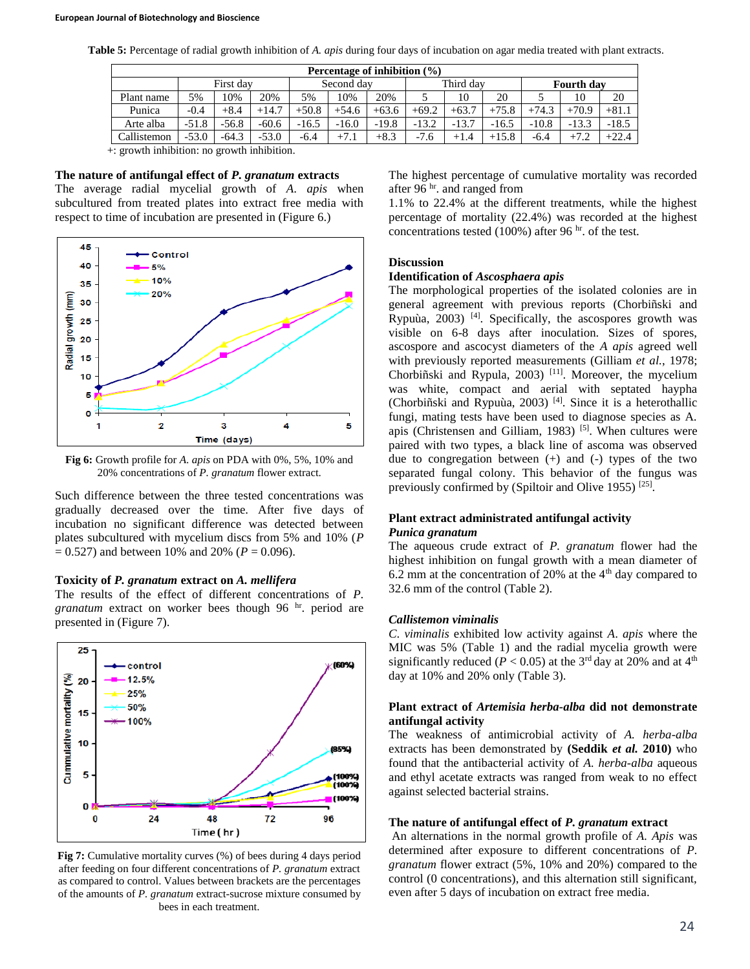**Table 5:** Percentage of radial growth inhibition of *A. apis* during four days of incubation on agar media treated with plant extracts.

| Percentage of inhibition $(\% )$ |         |         |            |         |           |         |         |                   |         |         |         |
|----------------------------------|---------|---------|------------|---------|-----------|---------|---------|-------------------|---------|---------|---------|
|                                  |         |         | Second day |         | Third day |         |         | <b>Fourth day</b> |         |         |         |
| 5%                               | 10%     | 20%     | 5%         | 10%     | 20%       |         | 10      | 20                |         | 10      | 20      |
| $-0.4$                           | $+8.4$  | $+14.7$ | $+50.8$    | $+54.6$ | $+63.6$   | $+69.2$ | $+63.7$ | $+75.8$           | $+74.3$ | $+70.9$ | $+81.1$ |
| $-51.8$                          | $-56.8$ | $-60.6$ | $-16.5$    | $-16.0$ | $-19.8$   | $-13.2$ | $-13.7$ | $-16.5$           | $-10.8$ | $-13.3$ | $-18.5$ |
| $-53.0$                          | $-64.3$ | $-53.0$ | $-6.4$     | $+7.1$  | $+8.3$    | $-7.6$  | $+1.4$  | $+15.8$           | $-6.4$  | $+7.2$  | $+22.4$ |
|                                  |         |         | First day  |         |           |         |         |                   |         |         |         |

+: growth inhibition: no growth inhibition.

#### **The nature of antifungal effect of** *P. granatum* **extracts**

The average radial mycelial growth of *A*. *apis* when subcultured from treated plates into extract free media with respect to time of incubation are presented in (Figure 6.)



**Fig 6:** Growth profile for *A*. *apis* on PDA with 0%, 5%, 10% and 20% concentrations of *P. granatum* flower extract.

Such difference between the three tested concentrations was gradually decreased over the time. After five days of incubation no significant difference was detected between plates subcultured with mycelium discs from 5% and 10% (*P*   $= 0.527$ ) and between 10% and 20% ( $P = 0.096$ ).

#### **Toxicity of** *P. granatum* **extract on** *A. mellifera*

The results of the effect of different concentrations of *P. granatum* extract on worker bees though 96 hr. period are presented in (Figure 7).



**Fig 7:** Cumulative mortality curves (%) of bees during 4 days period after feeding on four different concentrations of *P. granatum* extract as compared to control. Values between brackets are the percentages of the amounts of *P. granatum* extract-sucrose mixture consumed by bees in each treatment.

The highest percentage of cumulative mortality was recorded after 96 hr. and ranged from

1.1% to 22.4% at the different treatments, while the highest percentage of mortality (22.4%) was recorded at the highest concentrations tested (100%) after 96  $\mathrm{hr}$ , of the test.

# **Discussion**

#### **Identification of** *Ascosphaera apis*

The morphological properties of the isolated colonies are in general agreement with previous reports (Chorbiñski and Rypuùa, 2003)  $[4]$ . Specifically, the ascospores growth was visible on 6-8 days after inoculation. Sizes of spores, ascospore and ascocyst diameters of the *A apis* agreed well with previously reported measurements (Gilliam *et al.*, 1978; Chorbiñski and Rypula, 2003)<sup>[11]</sup>. Moreover, the mycelium was white, compact and aerial with septated haypha (Chorbiñski and Rypuùa, 2003) [4] . Since it is a heterothallic fungi, mating tests have been used to diagnose species as A. apis (Christensen and Gilliam, 1983)  $[5]$ . When cultures were paired with two types, a black line of ascoma was observed due to congregation between  $(+)$  and  $(-)$  types of the two separated fungal colony. This behavior of the fungus was previously confirmed by (Spiltoir and Olive 1955)<sup>[25]</sup>.

### **Plant extract administrated antifungal activity** *Punica granatum*

The aqueous crude extract of *P. granatum* flower had the highest inhibition on fungal growth with a mean diameter of 6.2 mm at the concentration of 20% at the  $4<sup>th</sup>$  day compared to 32.6 mm of the control (Table 2).

#### *Callistemon viminalis*

*C*. *viminalis* exhibited low activity against *A*. *apis* where the MIC was 5% (Table 1) and the radial mycelia growth were significantly reduced ( $P < 0.05$ ) at the 3<sup>rd</sup> day at 20% and at 4<sup>th</sup> day at 10% and 20% only (Table 3).

### **Plant extract of** *Artemisia herba-alba* **did not demonstrate antifungal activity**

The weakness of antimicrobial activity of *A. herba-alba*  extracts has been demonstrated by **(Seddik** *et al.* **2010)** who found that the antibacterial activity of *A. herba-alba* aqueous and ethyl acetate extracts was ranged from weak to no effect against selected bacterial strains.

#### **The nature of antifungal effect of** *P. granatum* **extract**

An alternations in the normal growth profile of *A. Apis* was determined after exposure to different concentrations of *P. granatum* flower extract (5%, 10% and 20%) compared to the control (0 concentrations), and this alternation still significant, even after 5 days of incubation on extract free media.